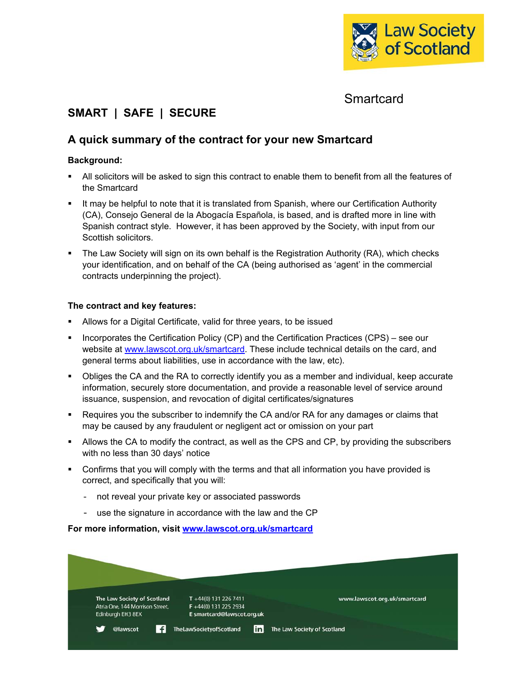

## **Smartcard**

# **SMART | SAFE | SECURE**

## **A quick summary of the contract for your new Smartcard**

## **Background:**

- All solicitors will be asked to sign this contract to enable them to benefit from all the features of the Smartcard
- It may be helpful to note that it is translated from Spanish, where our Certification Authority (CA), Consejo General de la Abogacía Española, is based, and is drafted more in line with Spanish contract style. However, it has been approved by the Society, with input from our Scottish solicitors.
- The Law Society will sign on its own behalf is the Registration Authority (RA), which checks your identification, and on behalf of the CA (being authorised as 'agent' in the commercial contracts underpinning the project).

## **The contract and key features:**

- Allows for a Digital Certificate, valid for three years, to be issued
- **Incorporates the Certification Policy (CP) and the Certification Practices (CPS) see our** website at www.lawscot.org.uk/smartcard. These include technical details on the card, and general terms about liabilities, use in accordance with the law, etc).
- Obliges the CA and the RA to correctly identify you as a member and individual, keep accurate information, securely store documentation, and provide a reasonable level of service around issuance, suspension, and revocation of digital certificates/signatures
- **Requires you the subscriber to indemnify the CA and/or RA for any damages or claims that** may be caused by any fraudulent or negligent act or omission on your part
- Allows the CA to modify the contract, as well as the CPS and CP, by providing the subscribers with no less than 30 days' notice
- Confirms that you will comply with the terms and that all information you have provided is correct, and specifically that you will:
	- not reveal your private key or associated passwords
	- use the signature in accordance with the law and the CP

**For more information, visit www.lawscot.org.uk/smartcard**

| The Law Society of Scotland     | T +44(0) 131 226 7411                | www.lawscot.org.uk/smartcard |
|---------------------------------|--------------------------------------|------------------------------|
| Atria One, 144 Morrison Street, | $F +44(0)$ 131 225 2934              |                              |
| Edinburgh EH3 8EX               | E smartcard@lawscot.org.uk           |                              |
|                                 | in<br><b>TheLawSocietyofScotland</b> | The Law Society of Scotland  |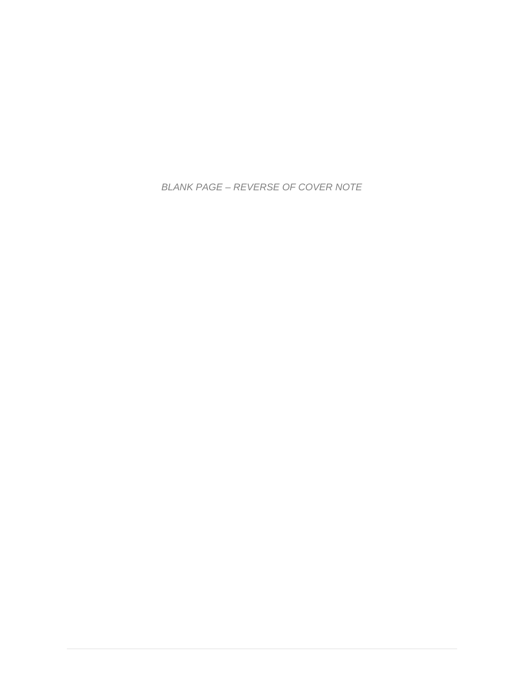*BLANK PAGE – REVERSE OF COVER NOTE*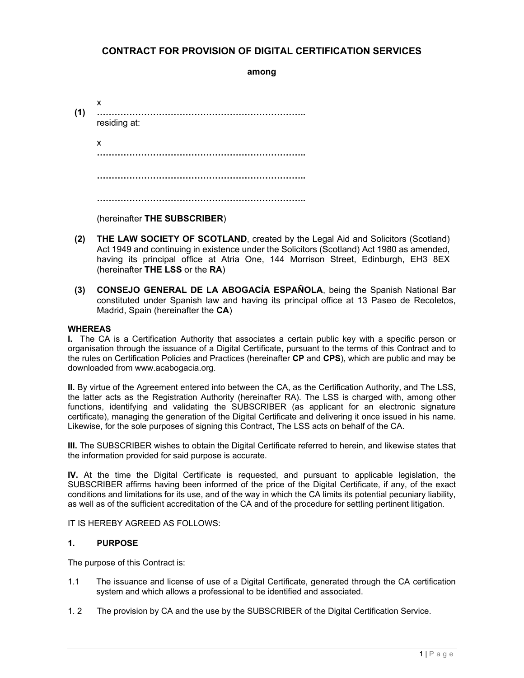## **CONTRACT FOR PROVISION OF DIGITAL CERTIFICATION SERVICES**

**among** 

- x **(1) ……………………………………………………………..**  residing at: x **…………………………………………………………….. …………………………………………………………….. ……………………………………………………………..**  (hereinafter **THE SUBSCRIBER**)
- **(2) THE LAW SOCIETY OF SCOTLAND**, created by the Legal Aid and Solicitors (Scotland) Act 1949 and continuing in existence under the Solicitors (Scotland) Act 1980 as amended, having its principal office at Atria One, 144 Morrison Street, Edinburgh, EH3 8EX (hereinafter **THE LSS** or the **RA**)
- **(3) CONSEJO GENERAL DE LA ABOGACÍA ESPAÑOLA**, being the Spanish National Bar constituted under Spanish law and having its principal office at 13 Paseo de Recoletos, Madrid, Spain (hereinafter the **CA**)

#### **WHEREAS**

**I.** The CA is a Certification Authority that associates a certain public key with a specific person or organisation through the issuance of a Digital Certificate, pursuant to the terms of this Contract and to the rules on Certification Policies and Practices (hereinafter **CP** and **CPS**), which are public and may be downloaded from www.acabogacia.org.

**II.** By virtue of the Agreement entered into between the CA, as the Certification Authority, and The LSS, the latter acts as the Registration Authority (hereinafter RA). The LSS is charged with, among other functions, identifying and validating the SUBSCRIBER (as applicant for an electronic signature certificate), managing the generation of the Digital Certificate and delivering it once issued in his name. Likewise, for the sole purposes of signing this Contract, The LSS acts on behalf of the CA.

**III.** The SUBSCRIBER wishes to obtain the Digital Certificate referred to herein, and likewise states that the information provided for said purpose is accurate.

**IV.** At the time the Digital Certificate is requested, and pursuant to applicable legislation, the SUBSCRIBER affirms having been informed of the price of the Digital Certificate, if any, of the exact conditions and limitations for its use, and of the way in which the CA limits its potential pecuniary liability, as well as of the sufficient accreditation of the CA and of the procedure for settling pertinent litigation.

IT IS HEREBY AGREED AS FOLLOWS:

#### **1. PURPOSE**

The purpose of this Contract is:

- 1.1 The issuance and license of use of a Digital Certificate, generated through the CA certification system and which allows a professional to be identified and associated.
- 1. 2 The provision by CA and the use by the SUBSCRIBER of the Digital Certification Service.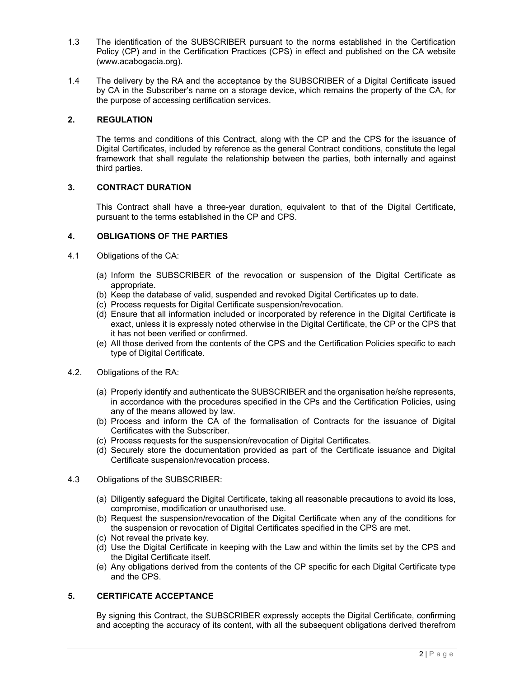- 1.3 The identification of the SUBSCRIBER pursuant to the norms established in the Certification Policy (CP) and in the Certification Practices (CPS) in effect and published on the CA website (www.acabogacia.org).
- 1.4 The delivery by the RA and the acceptance by the SUBSCRIBER of a Digital Certificate issued by CA in the Subscriber's name on a storage device, which remains the property of the CA, for the purpose of accessing certification services.

#### **2. REGULATION**

The terms and conditions of this Contract, along with the CP and the CPS for the issuance of Digital Certificates, included by reference as the general Contract conditions, constitute the legal framework that shall regulate the relationship between the parties, both internally and against third parties.

#### **3. CONTRACT DURATION**

This Contract shall have a three-year duration, equivalent to that of the Digital Certificate, pursuant to the terms established in the CP and CPS.

#### **4. OBLIGATIONS OF THE PARTIES**

- 4.1 Obligations of the CA:
	- (a) Inform the SUBSCRIBER of the revocation or suspension of the Digital Certificate as appropriate.
	- (b) Keep the database of valid, suspended and revoked Digital Certificates up to date.
	- (c) Process requests for Digital Certificate suspension/revocation.
	- (d) Ensure that all information included or incorporated by reference in the Digital Certificate is exact, unless it is expressly noted otherwise in the Digital Certificate, the CP or the CPS that it has not been verified or confirmed.
	- (e) All those derived from the contents of the CPS and the Certification Policies specific to each type of Digital Certificate.
- 4.2. Obligations of the RA:
	- (a) Properly identify and authenticate the SUBSCRIBER and the organisation he/she represents, in accordance with the procedures specified in the CPs and the Certification Policies, using any of the means allowed by law.
	- (b) Process and inform the CA of the formalisation of Contracts for the issuance of Digital Certificates with the Subscriber.
	- (c) Process requests for the suspension/revocation of Digital Certificates.
	- (d) Securely store the documentation provided as part of the Certificate issuance and Digital Certificate suspension/revocation process.
- 4.3 Obligations of the SUBSCRIBER:
	- (a) Diligently safeguard the Digital Certificate, taking all reasonable precautions to avoid its loss, compromise, modification or unauthorised use.
	- (b) Request the suspension/revocation of the Digital Certificate when any of the conditions for the suspension or revocation of Digital Certificates specified in the CPS are met.
	- (c) Not reveal the private key.
	- (d) Use the Digital Certificate in keeping with the Law and within the limits set by the CPS and the Digital Certificate itself.
	- (e) Any obligations derived from the contents of the CP specific for each Digital Certificate type and the CPS.

### **5. CERTIFICATE ACCEPTANCE**

By signing this Contract, the SUBSCRIBER expressly accepts the Digital Certificate, confirming and accepting the accuracy of its content, with all the subsequent obligations derived therefrom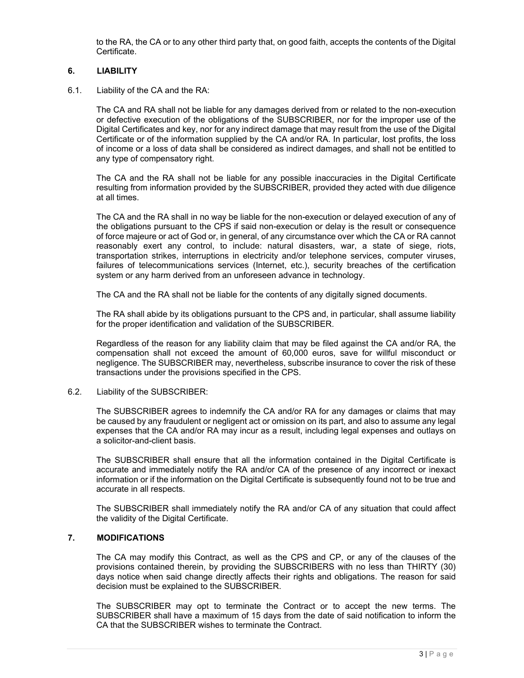to the RA, the CA or to any other third party that, on good faith, accepts the contents of the Digital Certificate.

#### **6. LIABILITY**

6.1. Liability of the CA and the RA:

The CA and RA shall not be liable for any damages derived from or related to the non-execution or defective execution of the obligations of the SUBSCRIBER, nor for the improper use of the Digital Certificates and key, nor for any indirect damage that may result from the use of the Digital Certificate or of the information supplied by the CA and/or RA. In particular, lost profits, the loss of income or a loss of data shall be considered as indirect damages, and shall not be entitled to any type of compensatory right.

The CA and the RA shall not be liable for any possible inaccuracies in the Digital Certificate resulting from information provided by the SUBSCRIBER, provided they acted with due diligence at all times.

The CA and the RA shall in no way be liable for the non-execution or delayed execution of any of the obligations pursuant to the CPS if said non-execution or delay is the result or consequence of force majeure or act of God or, in general, of any circumstance over which the CA or RA cannot reasonably exert any control, to include: natural disasters, war, a state of siege, riots, transportation strikes, interruptions in electricity and/or telephone services, computer viruses, failures of telecommunications services (Internet, etc.), security breaches of the certification system or any harm derived from an unforeseen advance in technology.

The CA and the RA shall not be liable for the contents of any digitally signed documents.

The RA shall abide by its obligations pursuant to the CPS and, in particular, shall assume liability for the proper identification and validation of the SUBSCRIBER.

Regardless of the reason for any liability claim that may be filed against the CA and/or RA, the compensation shall not exceed the amount of 60,000 euros, save for willful misconduct or negligence. The SUBSCRIBER may, nevertheless, subscribe insurance to cover the risk of these transactions under the provisions specified in the CPS.

6.2. Liability of the SUBSCRIBER:

The SUBSCRIBER agrees to indemnify the CA and/or RA for any damages or claims that may be caused by any fraudulent or negligent act or omission on its part, and also to assume any legal expenses that the CA and/or RA may incur as a result, including legal expenses and outlays on a solicitor-and-client basis.

The SUBSCRIBER shall ensure that all the information contained in the Digital Certificate is accurate and immediately notify the RA and/or CA of the presence of any incorrect or inexact information or if the information on the Digital Certificate is subsequently found not to be true and accurate in all respects.

The SUBSCRIBER shall immediately notify the RA and/or CA of any situation that could affect the validity of the Digital Certificate.

#### **7. MODIFICATIONS**

The CA may modify this Contract, as well as the CPS and CP, or any of the clauses of the provisions contained therein, by providing the SUBSCRIBERS with no less than THIRTY (30) days notice when said change directly affects their rights and obligations. The reason for said decision must be explained to the SUBSCRIBER.

The SUBSCRIBER may opt to terminate the Contract or to accept the new terms. The SUBSCRIBER shall have a maximum of 15 days from the date of said notification to inform the CA that the SUBSCRIBER wishes to terminate the Contract.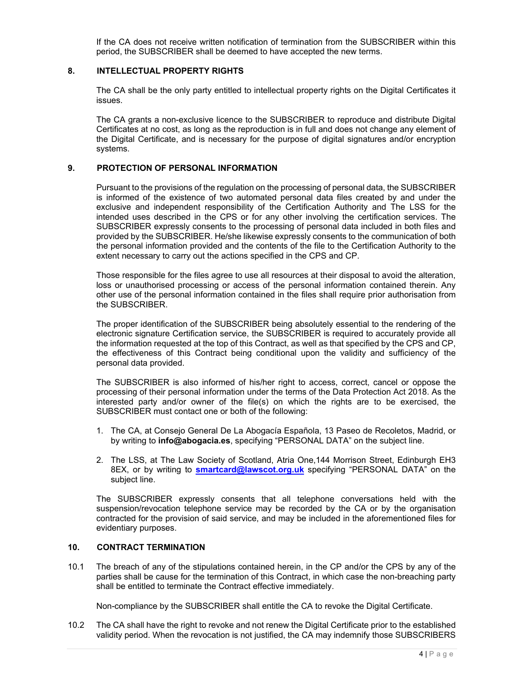If the CA does not receive written notification of termination from the SUBSCRIBER within this period, the SUBSCRIBER shall be deemed to have accepted the new terms.

#### **8. INTELLECTUAL PROPERTY RIGHTS**

The CA shall be the only party entitled to intellectual property rights on the Digital Certificates it issues.

The CA grants a non-exclusive licence to the SUBSCRIBER to reproduce and distribute Digital Certificates at no cost, as long as the reproduction is in full and does not change any element of the Digital Certificate, and is necessary for the purpose of digital signatures and/or encryption systems.

#### **9. PROTECTION OF PERSONAL INFORMATION**

Pursuant to the provisions of the regulation on the processing of personal data, the SUBSCRIBER is informed of the existence of two automated personal data files created by and under the exclusive and independent responsibility of the Certification Authority and The LSS for the intended uses described in the CPS or for any other involving the certification services. The SUBSCRIBER expressly consents to the processing of personal data included in both files and provided by the SUBSCRIBER. He/she likewise expressly consents to the communication of both the personal information provided and the contents of the file to the Certification Authority to the extent necessary to carry out the actions specified in the CPS and CP.

Those responsible for the files agree to use all resources at their disposal to avoid the alteration, loss or unauthorised processing or access of the personal information contained therein. Any other use of the personal information contained in the files shall require prior authorisation from the SUBSCRIBER.

The proper identification of the SUBSCRIBER being absolutely essential to the rendering of the electronic signature Certification service, the SUBSCRIBER is required to accurately provide all the information requested at the top of this Contract, as well as that specified by the CPS and CP, the effectiveness of this Contract being conditional upon the validity and sufficiency of the personal data provided.

The SUBSCRIBER is also informed of his/her right to access, correct, cancel or oppose the processing of their personal information under the terms of the Data Protection Act 2018. As the interested party and/or owner of the file(s) on which the rights are to be exercised, the SUBSCRIBER must contact one or both of the following:

- 1. The CA, at Consejo General De La Abogacía Española, 13 Paseo de Recoletos, Madrid, or by writing to **info@abogacia.es**, specifying "PERSONAL DATA" on the subject line.
- 2. The LSS, at The Law Society of Scotland, Atria One,144 Morrison Street, Edinburgh EH3 8EX, or by writing to **smartcard@lawscot.org.uk** specifying "PERSONAL DATA" on the subject line.

The SUBSCRIBER expressly consents that all telephone conversations held with the suspension/revocation telephone service may be recorded by the CA or by the organisation contracted for the provision of said service, and may be included in the aforementioned files for evidentiary purposes.

#### **10. CONTRACT TERMINATION**

10.1 The breach of any of the stipulations contained herein, in the CP and/or the CPS by any of the parties shall be cause for the termination of this Contract, in which case the non-breaching party shall be entitled to terminate the Contract effective immediately.

Non-compliance by the SUBSCRIBER shall entitle the CA to revoke the Digital Certificate.

10.2 The CA shall have the right to revoke and not renew the Digital Certificate prior to the established validity period. When the revocation is not justified, the CA may indemnify those SUBSCRIBERS